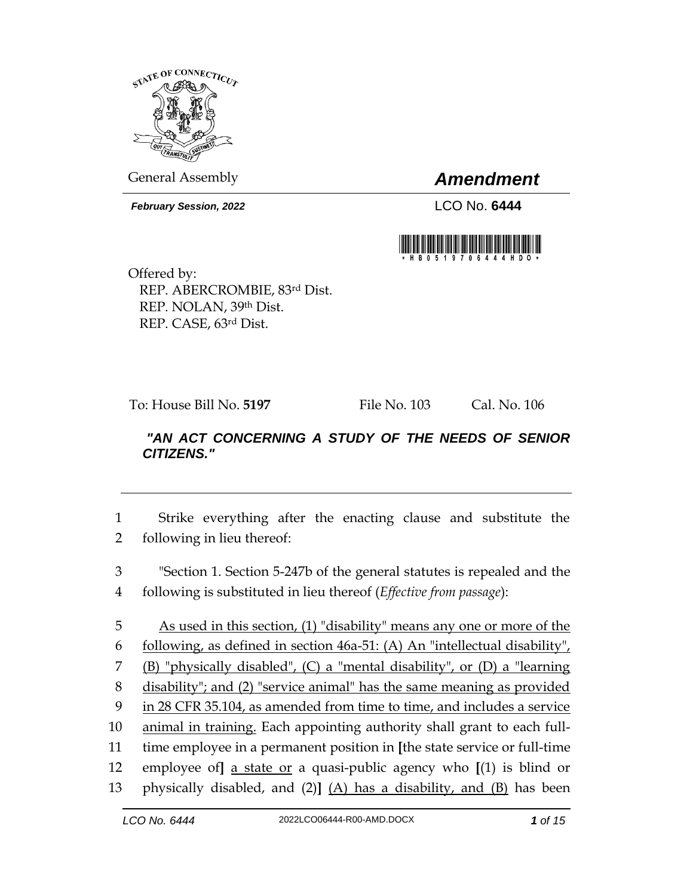

General Assembly *Amendment*

*February Session, 2022* LCO No. **6444**



Offered by: REP. ABERCROMBIE, 83rd Dist. REP. NOLAN, 39th Dist. REP. CASE, 63rd Dist.

To: House Bill No. **5197** File No. 103 Cal. No. 106

## *"AN ACT CONCERNING A STUDY OF THE NEEDS OF SENIOR CITIZENS."*

1 Strike everything after the enacting clause and substitute the 2 following in lieu thereof:

3 "Section 1. Section 5-247b of the general statutes is repealed and the 4 following is substituted in lieu thereof (*Effective from passage*):

 As used in this section, (1) "disability" means any one or more of the 6 following, as defined in section  $46a-51$ : (A) An "intellectual disability", (B) "physically disabled", (C) a "mental disability", or (D) a "learning disability"; and (2) "service animal" has the same meaning as provided in 28 CFR 35.104, as amended from time to time, and includes a service animal in training. Each appointing authority shall grant to each full- time employee in a permanent position in **[**the state service or full-time employee of**]** a state or a quasi-public agency who **[**(1) is blind or physically disabled, and (2)**]** (A) has a disability, and (B) has been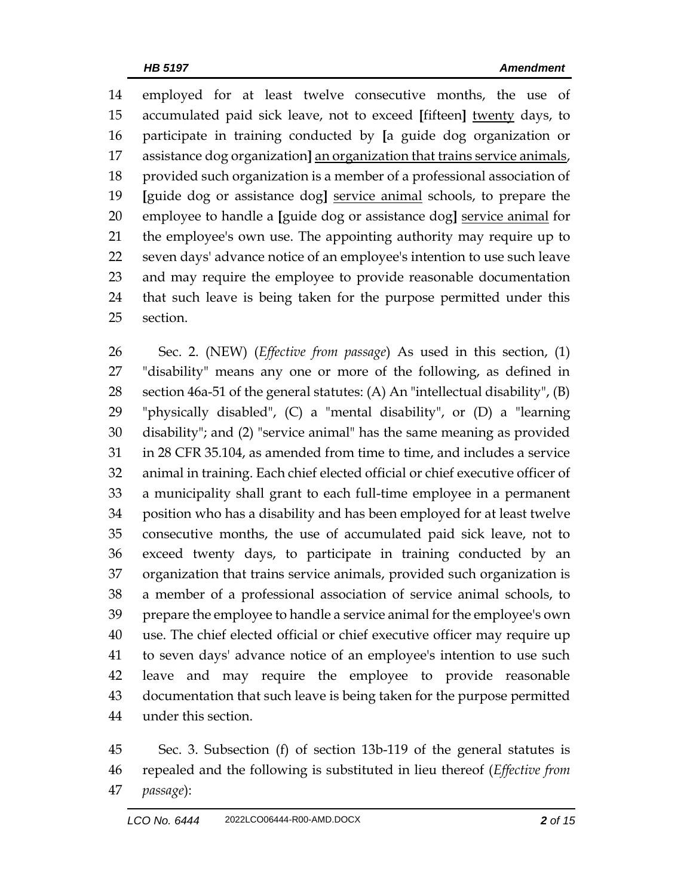employed for at least twelve consecutive months, the use of accumulated paid sick leave, not to exceed **[**fifteen**]** twenty days, to participate in training conducted by **[**a guide dog organization or assistance dog organization**]** an organization that trains service animals, provided such organization is a member of a professional association of **[**guide dog or assistance dog**]** service animal schools, to prepare the employee to handle a **[**guide dog or assistance dog**]** service animal for the employee's own use. The appointing authority may require up to seven days' advance notice of an employee's intention to use such leave and may require the employee to provide reasonable documentation that such leave is being taken for the purpose permitted under this section.

 Sec. 2. (NEW) (*Effective from passage*) As used in this section, (1) "disability" means any one or more of the following, as defined in section 46a-51 of the general statutes: (A) An "intellectual disability", (B) "physically disabled", (C) a "mental disability", or (D) a "learning disability"; and (2) "service animal" has the same meaning as provided in 28 CFR 35.104, as amended from time to time, and includes a service animal in training. Each chief elected official or chief executive officer of a municipality shall grant to each full-time employee in a permanent position who has a disability and has been employed for at least twelve consecutive months, the use of accumulated paid sick leave, not to exceed twenty days, to participate in training conducted by an organization that trains service animals, provided such organization is a member of a professional association of service animal schools, to prepare the employee to handle a service animal for the employee's own use. The chief elected official or chief executive officer may require up to seven days' advance notice of an employee's intention to use such leave and may require the employee to provide reasonable documentation that such leave is being taken for the purpose permitted under this section.

 Sec. 3. Subsection (f) of section 13b-119 of the general statutes is repealed and the following is substituted in lieu thereof (*Effective from passage*):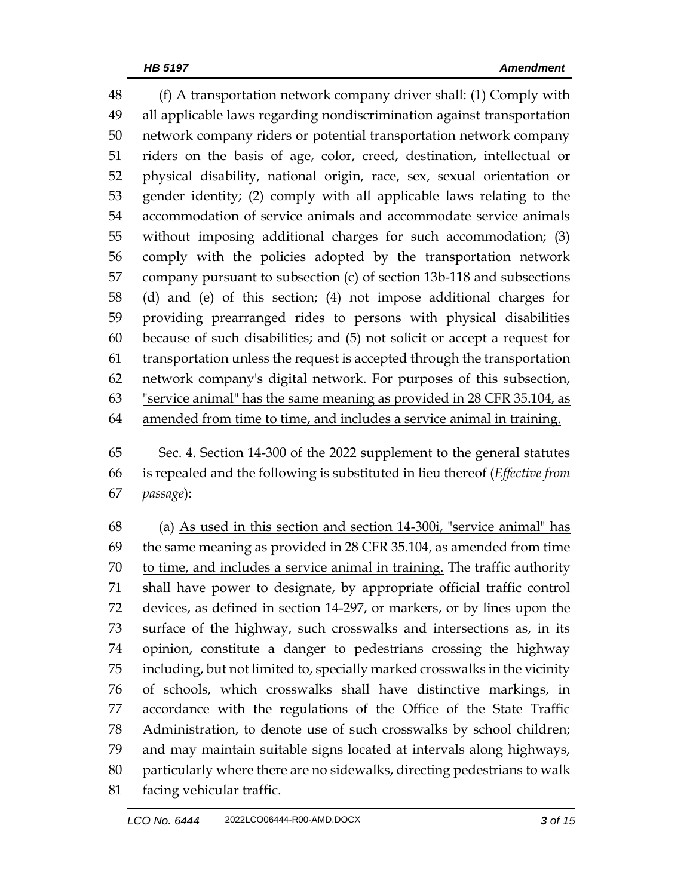(f) A transportation network company driver shall: (1) Comply with all applicable laws regarding nondiscrimination against transportation network company riders or potential transportation network company riders on the basis of age, color, creed, destination, intellectual or physical disability, national origin, race, sex, sexual orientation or gender identity; (2) comply with all applicable laws relating to the accommodation of service animals and accommodate service animals without imposing additional charges for such accommodation; (3) comply with the policies adopted by the transportation network company pursuant to subsection (c) of section 13b-118 and subsections (d) and (e) of this section; (4) not impose additional charges for providing prearranged rides to persons with physical disabilities because of such disabilities; and (5) not solicit or accept a request for transportation unless the request is accepted through the transportation network company's digital network. For purposes of this subsection, "service animal" has the same meaning as provided in 28 CFR 35.104, as amended from time to time, and includes a service animal in training.

 Sec. 4. Section 14-300 of the 2022 supplement to the general statutes is repealed and the following is substituted in lieu thereof (*Effective from passage*):

 (a) As used in this section and section 14-300i, "service animal" has the same meaning as provided in 28 CFR 35.104, as amended from time to time, and includes a service animal in training. The traffic authority shall have power to designate, by appropriate official traffic control devices, as defined in section 14-297, or markers, or by lines upon the surface of the highway, such crosswalks and intersections as, in its opinion, constitute a danger to pedestrians crossing the highway including, but not limited to, specially marked crosswalks in the vicinity of schools, which crosswalks shall have distinctive markings, in accordance with the regulations of the Office of the State Traffic Administration, to denote use of such crosswalks by school children; and may maintain suitable signs located at intervals along highways, particularly where there are no sidewalks, directing pedestrians to walk facing vehicular traffic.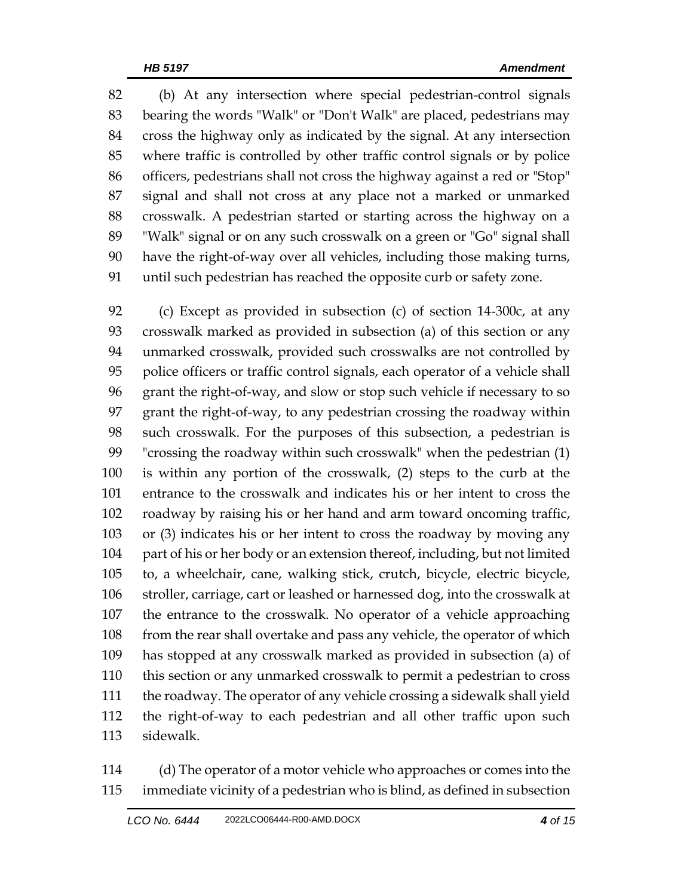(b) At any intersection where special pedestrian-control signals bearing the words "Walk" or "Don't Walk" are placed, pedestrians may cross the highway only as indicated by the signal. At any intersection where traffic is controlled by other traffic control signals or by police officers, pedestrians shall not cross the highway against a red or "Stop" signal and shall not cross at any place not a marked or unmarked crosswalk. A pedestrian started or starting across the highway on a "Walk" signal or on any such crosswalk on a green or "Go" signal shall have the right-of-way over all vehicles, including those making turns, until such pedestrian has reached the opposite curb or safety zone.

 (c) Except as provided in subsection (c) of section 14-300c, at any crosswalk marked as provided in subsection (a) of this section or any unmarked crosswalk, provided such crosswalks are not controlled by police officers or traffic control signals, each operator of a vehicle shall grant the right-of-way, and slow or stop such vehicle if necessary to so grant the right-of-way, to any pedestrian crossing the roadway within such crosswalk. For the purposes of this subsection, a pedestrian is "crossing the roadway within such crosswalk" when the pedestrian (1) is within any portion of the crosswalk, (2) steps to the curb at the entrance to the crosswalk and indicates his or her intent to cross the roadway by raising his or her hand and arm toward oncoming traffic, or (3) indicates his or her intent to cross the roadway by moving any part of his or her body or an extension thereof, including, but not limited to, a wheelchair, cane, walking stick, crutch, bicycle, electric bicycle, stroller, carriage, cart or leashed or harnessed dog, into the crosswalk at the entrance to the crosswalk. No operator of a vehicle approaching from the rear shall overtake and pass any vehicle, the operator of which has stopped at any crosswalk marked as provided in subsection (a) of this section or any unmarked crosswalk to permit a pedestrian to cross the roadway. The operator of any vehicle crossing a sidewalk shall yield the right-of-way to each pedestrian and all other traffic upon such sidewalk.

 (d) The operator of a motor vehicle who approaches or comes into the immediate vicinity of a pedestrian who is blind, as defined in subsection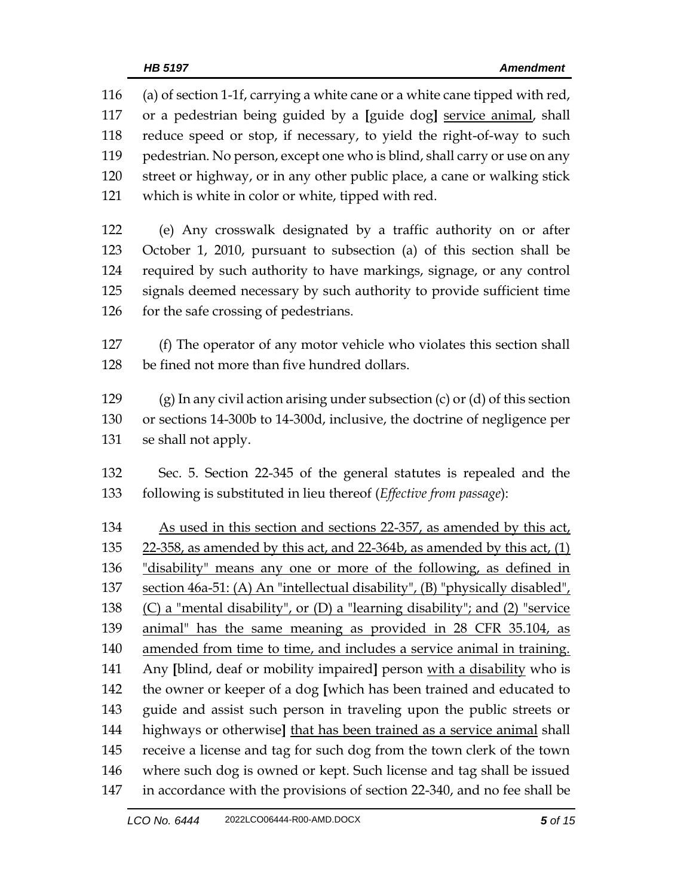(a) of section 1-1f, carrying a white cane or a white cane tipped with red, or a pedestrian being guided by a **[**guide dog**]** service animal, shall reduce speed or stop, if necessary, to yield the right-of-way to such pedestrian. No person, except one who is blind, shall carry or use on any street or highway, or in any other public place, a cane or walking stick which is white in color or white, tipped with red. (e) Any crosswalk designated by a traffic authority on or after October 1, 2010, pursuant to subsection (a) of this section shall be required by such authority to have markings, signage, or any control signals deemed necessary by such authority to provide sufficient time 126 for the safe crossing of pedestrians. (f) The operator of any motor vehicle who violates this section shall be fined not more than five hundred dollars. (g) In any civil action arising under subsection (c) or (d) of this section or sections 14-300b to 14-300d, inclusive, the doctrine of negligence per se shall not apply. Sec. 5. Section 22-345 of the general statutes is repealed and the following is substituted in lieu thereof (*Effective from passage*): As used in this section and sections 22-357, as amended by this act, 22-358, as amended by this act, and 22-364b, as amended by this act, (1) "disability" means any one or more of the following, as defined in section 46a-51: (A) An "intellectual disability", (B) "physically disabled", 138 (C) a "mental disability", or (D) a "learning disability"; and (2) "service animal" has the same meaning as provided in 28 CFR 35.104, as amended from time to time, and includes a service animal in training. Any **[**blind, deaf or mobility impaired**]** person with a disability who is the owner or keeper of a dog **[**which has been trained and educated to guide and assist such person in traveling upon the public streets or highways or otherwise**]** that has been trained as a service animal shall receive a license and tag for such dog from the town clerk of the town where such dog is owned or kept. Such license and tag shall be issued in accordance with the provisions of section 22-340, and no fee shall be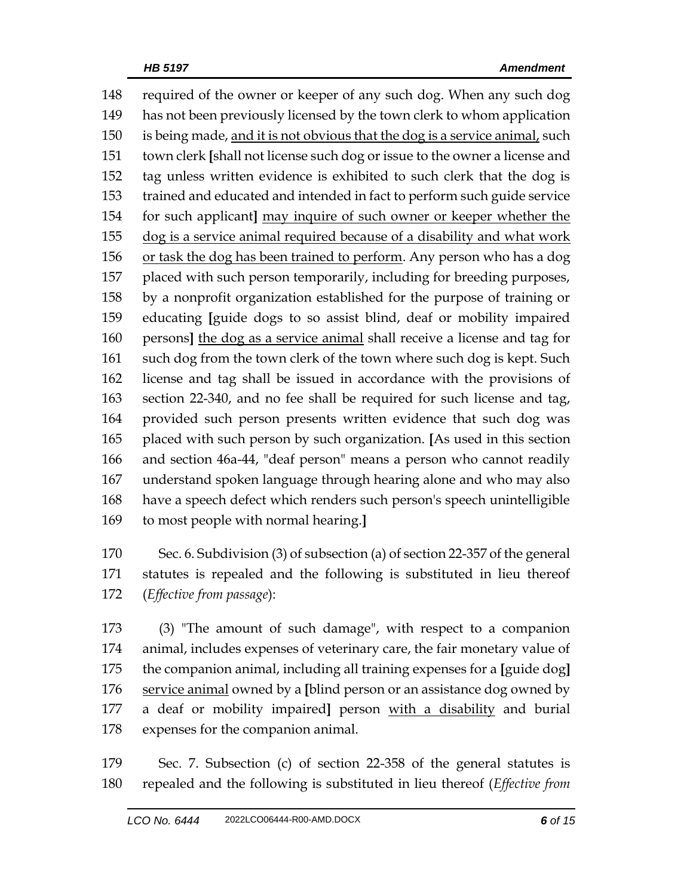required of the owner or keeper of any such dog. When any such dog has not been previously licensed by the town clerk to whom application is being made, and it is not obvious that the dog is a service animal, such town clerk **[**shall not license such dog or issue to the owner a license and tag unless written evidence is exhibited to such clerk that the dog is trained and educated and intended in fact to perform such guide service for such applicant**]** may inquire of such owner or keeper whether the dog is a service animal required because of a disability and what work or task the dog has been trained to perform. Any person who has a dog placed with such person temporarily, including for breeding purposes, by a nonprofit organization established for the purpose of training or educating **[**guide dogs to so assist blind, deaf or mobility impaired persons**]** the dog as a service animal shall receive a license and tag for 161 such dog from the town clerk of the town where such dog is kept. Such license and tag shall be issued in accordance with the provisions of section 22-340, and no fee shall be required for such license and tag, provided such person presents written evidence that such dog was placed with such person by such organization. **[**As used in this section and section 46a-44, "deaf person" means a person who cannot readily understand spoken language through hearing alone and who may also have a speech defect which renders such person's speech unintelligible to most people with normal hearing.**]**

 Sec. 6. Subdivision (3) of subsection (a) of section 22-357 of the general statutes is repealed and the following is substituted in lieu thereof (*Effective from passage*):

 (3) "The amount of such damage", with respect to a companion animal, includes expenses of veterinary care, the fair monetary value of the companion animal, including all training expenses for a **[**guide dog**]** service animal owned by a **[**blind person or an assistance dog owned by a deaf or mobility impaired**]** person with a disability and burial expenses for the companion animal.

 Sec. 7. Subsection (c) of section 22-358 of the general statutes is repealed and the following is substituted in lieu thereof (*Effective from*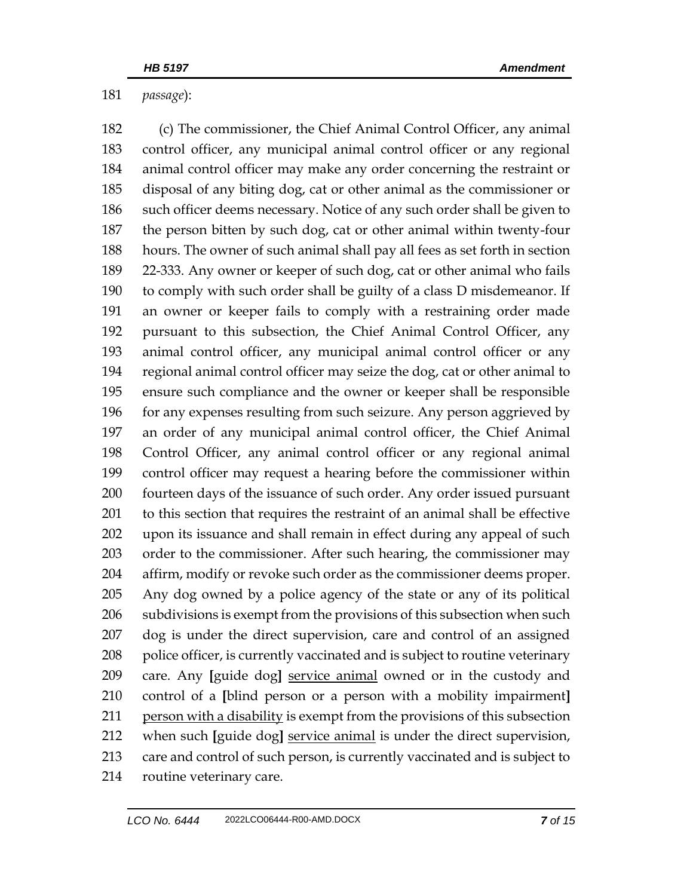*passage*):

 (c) The commissioner, the Chief Animal Control Officer, any animal control officer, any municipal animal control officer or any regional animal control officer may make any order concerning the restraint or disposal of any biting dog, cat or other animal as the commissioner or such officer deems necessary. Notice of any such order shall be given to the person bitten by such dog, cat or other animal within twenty-four hours. The owner of such animal shall pay all fees as set forth in section 22-333. Any owner or keeper of such dog, cat or other animal who fails to comply with such order shall be guilty of a class D misdemeanor. If an owner or keeper fails to comply with a restraining order made pursuant to this subsection, the Chief Animal Control Officer, any animal control officer, any municipal animal control officer or any regional animal control officer may seize the dog, cat or other animal to ensure such compliance and the owner or keeper shall be responsible for any expenses resulting from such seizure. Any person aggrieved by an order of any municipal animal control officer, the Chief Animal Control Officer, any animal control officer or any regional animal control officer may request a hearing before the commissioner within fourteen days of the issuance of such order. Any order issued pursuant to this section that requires the restraint of an animal shall be effective upon its issuance and shall remain in effect during any appeal of such order to the commissioner. After such hearing, the commissioner may affirm, modify or revoke such order as the commissioner deems proper. Any dog owned by a police agency of the state or any of its political subdivisions is exempt from the provisions of this subsection when such dog is under the direct supervision, care and control of an assigned 208 police officer, is currently vaccinated and is subject to routine veterinary care. Any **[**guide dog**]** service animal owned or in the custody and control of a **[**blind person or a person with a mobility impairment**]** person with a disability is exempt from the provisions of this subsection when such **[**guide dog**]** service animal is under the direct supervision, care and control of such person, is currently vaccinated and is subject to routine veterinary care.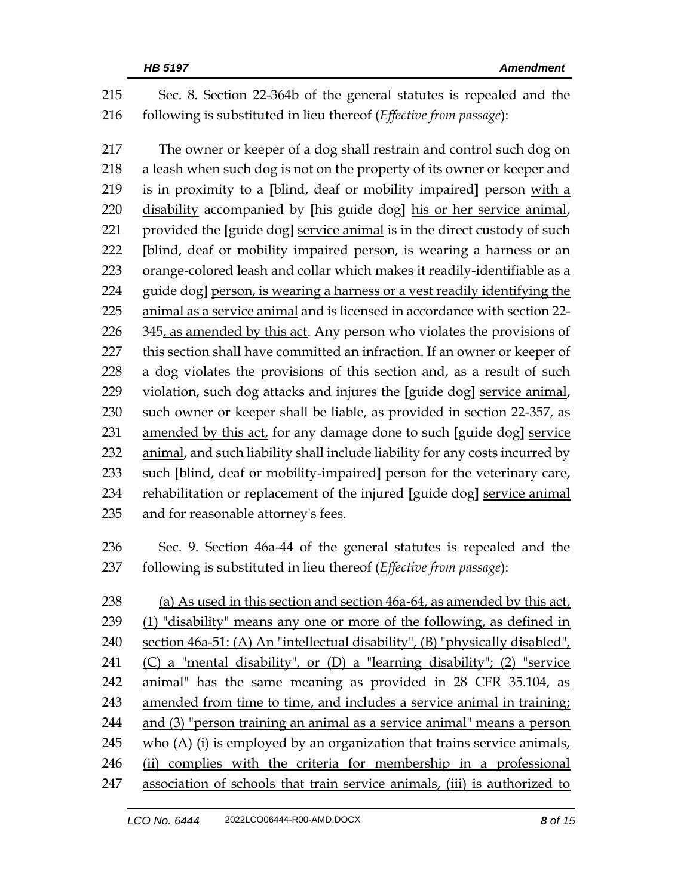Sec. 8. Section 22-364b of the general statutes is repealed and the following is substituted in lieu thereof (*Effective from passage*):

 The owner or keeper of a dog shall restrain and control such dog on 218 a leash when such dog is not on the property of its owner or keeper and is in proximity to a **[**blind, deaf or mobility impaired**]** person with a disability accompanied by **[**his guide dog**]** his or her service animal, provided the **[**guide dog**]** service animal is in the direct custody of such **[**blind, deaf or mobility impaired person, is wearing a harness or an orange-colored leash and collar which makes it readily-identifiable as a guide dog**]** person, is wearing a harness or a vest readily identifying the animal as a service animal and is licensed in accordance with section 22- 345, as amended by this act. Any person who violates the provisions of this section shall have committed an infraction. If an owner or keeper of a dog violates the provisions of this section and, as a result of such violation, such dog attacks and injures the **[**guide dog**]** service animal, such owner or keeper shall be liable, as provided in section 22-357, as amended by this act, for any damage done to such **[**guide dog**]** service 232 animal, and such liability shall include liability for any costs incurred by such **[**blind, deaf or mobility-impaired**]** person for the veterinary care, rehabilitation or replacement of the injured **[**guide dog**]** service animal and for reasonable attorney's fees.

 Sec. 9. Section 46a-44 of the general statutes is repealed and the following is substituted in lieu thereof (*Effective from passage*):

 (a) As used in this section and section 46a-64, as amended by this act, (1) "disability" means any one or more of the following, as defined in section 46a-51: (A) An "intellectual disability", (B) "physically disabled", (C) a "mental disability", or (D) a "learning disability"; (2) "service animal" has the same meaning as provided in 28 CFR 35.104, as 243 amended from time to time, and includes a service animal in training; and (3) "person training an animal as a service animal" means a person who (A) (i) is employed by an organization that trains service animals, (ii) complies with the criteria for membership in a professional association of schools that train service animals, (iii) is authorized to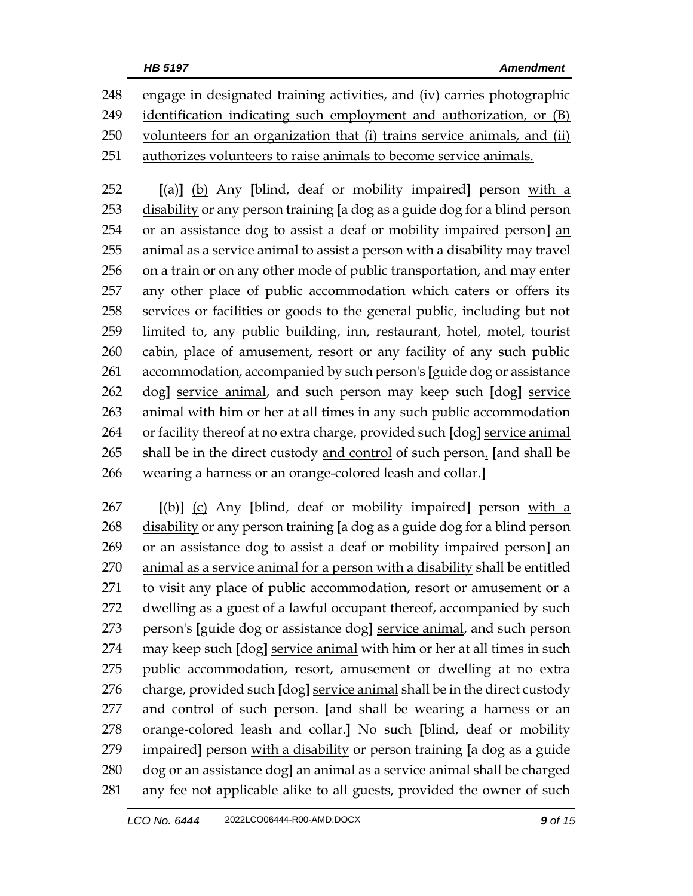| 248 | engage in designated training activities, and (iv) carries photographic      |
|-----|------------------------------------------------------------------------------|
|     | 249 identification indicating such employment and authorization, or (B)      |
|     | 250 volunteers for an organization that (i) trains service animals, and (ii) |
|     | 251 authorizes volunteers to raise animals to become service animals.        |

 **[**(a)**]** (b) Any **[**blind, deaf or mobility impaired**]** person with a disability or any person training **[**a dog as a guide dog for a blind person or an assistance dog to assist a deaf or mobility impaired person**]** an animal as a service animal to assist a person with a disability may travel on a train or on any other mode of public transportation, and may enter any other place of public accommodation which caters or offers its services or facilities or goods to the general public, including but not limited to, any public building, inn, restaurant, hotel, motel, tourist cabin, place of amusement, resort or any facility of any such public accommodation, accompanied by such person's **[**guide dog or assistance dog**]** service animal, and such person may keep such **[**dog**]** service animal with him or her at all times in any such public accommodation or facility thereof at no extra charge, provided such **[**dog**]** service animal shall be in the direct custody and control of such person. **[**and shall be wearing a harness or an orange-colored leash and collar.**]**

 **[**(b)**]** (c) Any **[**blind, deaf or mobility impaired**]** person with a disability or any person training **[**a dog as a guide dog for a blind person or an assistance dog to assist a deaf or mobility impaired person**]** an animal as a service animal for a person with a disability shall be entitled to visit any place of public accommodation, resort or amusement or a dwelling as a guest of a lawful occupant thereof, accompanied by such person's **[**guide dog or assistance dog**]** service animal, and such person may keep such **[**dog**]** service animal with him or her at all times in such public accommodation, resort, amusement or dwelling at no extra charge, provided such **[**dog**]** service animal shall be in the direct custody and control of such person. **[**and shall be wearing a harness or an orange-colored leash and collar.**]** No such **[**blind, deaf or mobility impaired**]** person with a disability or person training **[**a dog as a guide dog or an assistance dog**]** an animal as a service animal shall be charged any fee not applicable alike to all guests, provided the owner of such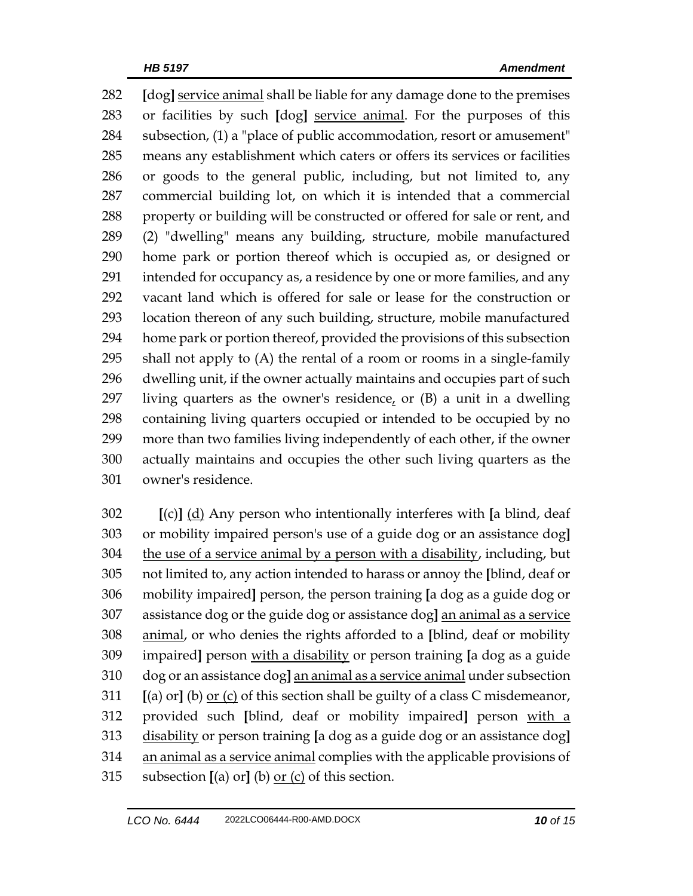**[**dog**]** service animal shall be liable for any damage done to the premises or facilities by such **[**dog**]** service animal. For the purposes of this subsection, (1) a "place of public accommodation, resort or amusement" means any establishment which caters or offers its services or facilities or goods to the general public, including, but not limited to, any commercial building lot, on which it is intended that a commercial property or building will be constructed or offered for sale or rent, and (2) "dwelling" means any building, structure, mobile manufactured home park or portion thereof which is occupied as, or designed or intended for occupancy as, a residence by one or more families, and any vacant land which is offered for sale or lease for the construction or location thereon of any such building, structure, mobile manufactured home park or portion thereof, provided the provisions of this subsection shall not apply to (A) the rental of a room or rooms in a single-family dwelling unit, if the owner actually maintains and occupies part of such living quarters as the owner's residence, or (B) a unit in a dwelling containing living quarters occupied or intended to be occupied by no more than two families living independently of each other, if the owner actually maintains and occupies the other such living quarters as the owner's residence.

 **[**(c)**]** (d) Any person who intentionally interferes with **[**a blind, deaf or mobility impaired person's use of a guide dog or an assistance dog**]** the use of a service animal by a person with a disability, including, but not limited to, any action intended to harass or annoy the **[**blind, deaf or mobility impaired**]** person, the person training **[**a dog as a guide dog or assistance dog or the guide dog or assistance dog**]** an animal as a service animal, or who denies the rights afforded to a **[**blind, deaf or mobility impaired**]** person with a disability or person training **[**a dog as a guide dog or an assistance dog**]** an animal as a service animal under subsection **[**(a) or**]** (b) or (c) of this section shall be guilty of a class C misdemeanor, provided such **[**blind, deaf or mobility impaired**]** person with a disability or person training **[**a dog as a guide dog or an assistance dog**]** 314 an animal as a service animal complies with the applicable provisions of subsection **[**(a) or**]** (b) or (c) of this section.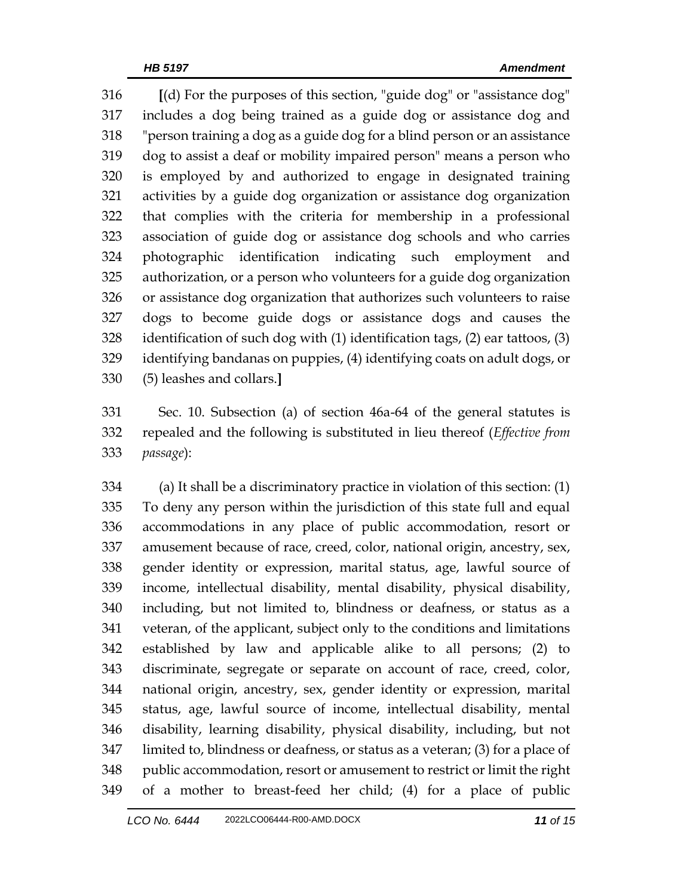**[**(d) For the purposes of this section, "guide dog" or "assistance dog" includes a dog being trained as a guide dog or assistance dog and "person training a dog as a guide dog for a blind person or an assistance dog to assist a deaf or mobility impaired person" means a person who is employed by and authorized to engage in designated training activities by a guide dog organization or assistance dog organization that complies with the criteria for membership in a professional association of guide dog or assistance dog schools and who carries photographic identification indicating such employment and authorization, or a person who volunteers for a guide dog organization or assistance dog organization that authorizes such volunteers to raise dogs to become guide dogs or assistance dogs and causes the identification of such dog with (1) identification tags, (2) ear tattoos, (3) identifying bandanas on puppies, (4) identifying coats on adult dogs, or (5) leashes and collars.**]**

 Sec. 10. Subsection (a) of section 46a-64 of the general statutes is repealed and the following is substituted in lieu thereof (*Effective from passage*):

 (a) It shall be a discriminatory practice in violation of this section: (1) To deny any person within the jurisdiction of this state full and equal accommodations in any place of public accommodation, resort or amusement because of race, creed, color, national origin, ancestry, sex, gender identity or expression, marital status, age, lawful source of income, intellectual disability, mental disability, physical disability, including, but not limited to, blindness or deafness, or status as a veteran, of the applicant, subject only to the conditions and limitations established by law and applicable alike to all persons; (2) to discriminate, segregate or separate on account of race, creed, color, national origin, ancestry, sex, gender identity or expression, marital status, age, lawful source of income, intellectual disability, mental disability, learning disability, physical disability, including, but not limited to, blindness or deafness, or status as a veteran; (3) for a place of public accommodation, resort or amusement to restrict or limit the right of a mother to breast-feed her child; (4) for a place of public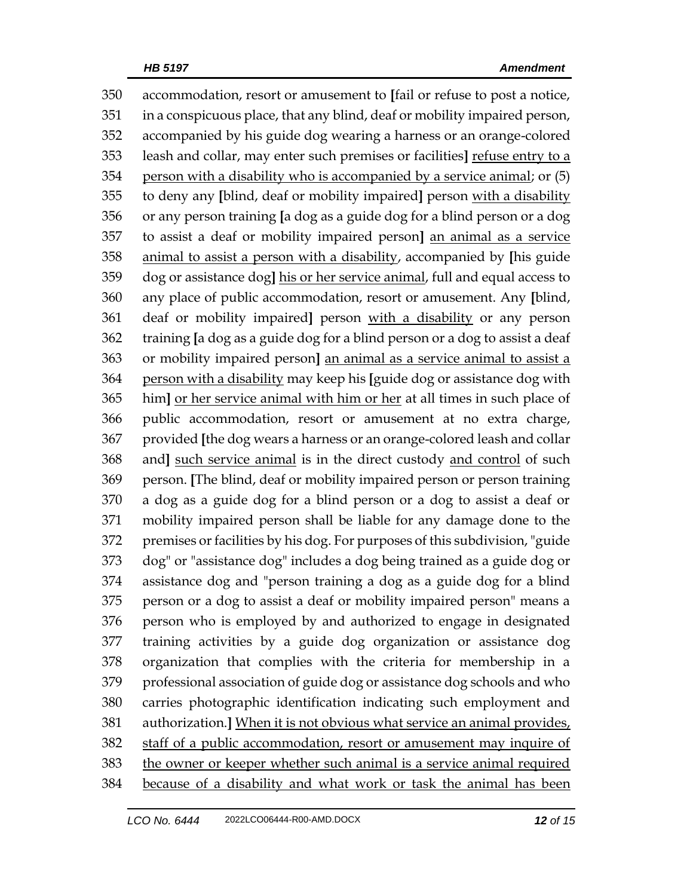accommodation, resort or amusement to **[**fail or refuse to post a notice, in a conspicuous place, that any blind, deaf or mobility impaired person, accompanied by his guide dog wearing a harness or an orange-colored leash and collar, may enter such premises or facilities**]** refuse entry to a person with a disability who is accompanied by a service animal; or (5) to deny any **[**blind, deaf or mobility impaired**]** person with a disability or any person training **[**a dog as a guide dog for a blind person or a dog to assist a deaf or mobility impaired person**]** an animal as a service animal to assist a person with a disability, accompanied by **[**his guide dog or assistance dog**]** his or her service animal, full and equal access to any place of public accommodation, resort or amusement. Any **[**blind, deaf or mobility impaired**]** person with a disability or any person training **[**a dog as a guide dog for a blind person or a dog to assist a deaf or mobility impaired person**]** an animal as a service animal to assist a person with a disability may keep his **[**guide dog or assistance dog with him**]** or her service animal with him or her at all times in such place of public accommodation, resort or amusement at no extra charge, provided **[**the dog wears a harness or an orange-colored leash and collar and**]** such service animal is in the direct custody and control of such person. **[**The blind, deaf or mobility impaired person or person training a dog as a guide dog for a blind person or a dog to assist a deaf or mobility impaired person shall be liable for any damage done to the premises or facilities by his dog. For purposes of this subdivision, "guide dog" or "assistance dog" includes a dog being trained as a guide dog or assistance dog and "person training a dog as a guide dog for a blind person or a dog to assist a deaf or mobility impaired person" means a person who is employed by and authorized to engage in designated training activities by a guide dog organization or assistance dog organization that complies with the criteria for membership in a professional association of guide dog or assistance dog schools and who carries photographic identification indicating such employment and authorization.**]** When it is not obvious what service an animal provides, staff of a public accommodation, resort or amusement may inquire of the owner or keeper whether such animal is a service animal required because of a disability and what work or task the animal has been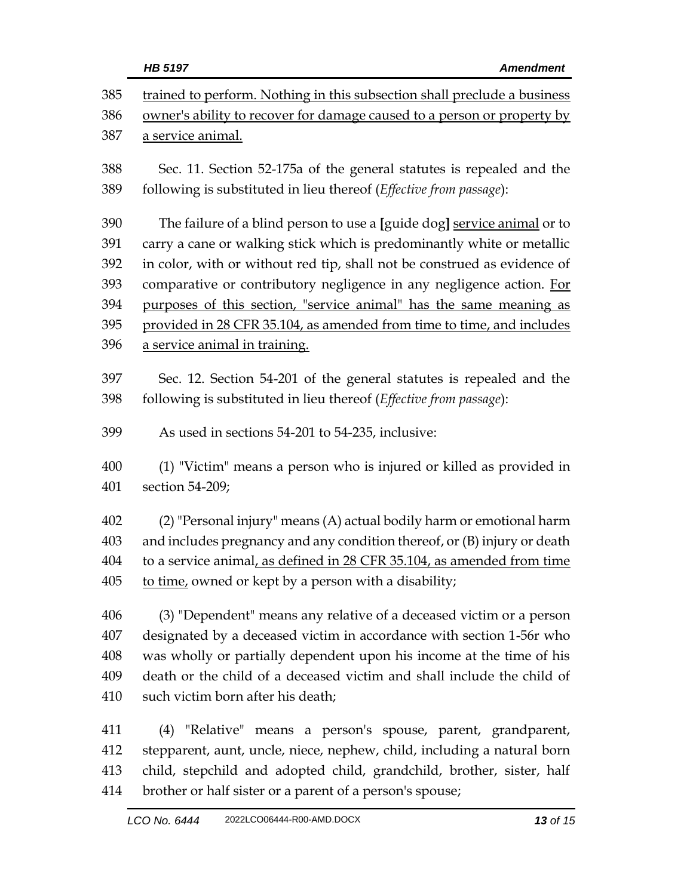|            | HB 5197<br><b>Amendment</b>                                                                                                                         |
|------------|-----------------------------------------------------------------------------------------------------------------------------------------------------|
| 385<br>386 | trained to perform. Nothing in this subsection shall preclude a business<br>owner's ability to recover for damage caused to a person or property by |
| 387        | a service animal.                                                                                                                                   |
| 388<br>389 | Sec. 11. Section 52-175a of the general statutes is repealed and the<br>following is substituted in lieu thereof (Effective from passage):          |
| 390        | The failure of a blind person to use a [guide dog] service animal or to                                                                             |
| 391        | carry a cane or walking stick which is predominantly white or metallic                                                                              |
| 392        | in color, with or without red tip, shall not be construed as evidence of                                                                            |
| 393        | comparative or contributory negligence in any negligence action. For                                                                                |
| 394        | purposes of this section, "service animal" has the same meaning as                                                                                  |
| 395        | provided in 28 CFR 35.104, as amended from time to time, and includes                                                                               |
| 396        | a service animal in training.                                                                                                                       |
| 397        | Sec. 12. Section 54-201 of the general statutes is repealed and the                                                                                 |
| 398        | following is substituted in lieu thereof (Effective from passage):                                                                                  |
| 399        | As used in sections 54-201 to 54-235, inclusive:                                                                                                    |
| 400        | (1) "Victim" means a person who is injured or killed as provided in                                                                                 |
| 401        | section 54-209;                                                                                                                                     |
| 402        | (2) "Personal injury" means (A) actual bodily harm or emotional harm                                                                                |
| 403        | and includes pregnancy and any condition thereof, or (B) injury or death                                                                            |
| 404        | to a service animal, as defined in 28 CFR 35.104, as amended from time                                                                              |
| 405        | to time, owned or kept by a person with a disability;                                                                                               |
| 406        | (3) "Dependent" means any relative of a deceased victim or a person                                                                                 |
| 407        | designated by a deceased victim in accordance with section 1-56r who                                                                                |
| 408        | was wholly or partially dependent upon his income at the time of his                                                                                |
| 409        | death or the child of a deceased victim and shall include the child of                                                                              |
| 410        | such victim born after his death;                                                                                                                   |
| 411        | (4) "Relative" means a person's spouse, parent, grandparent,                                                                                        |
| 412        | stepparent, aunt, uncle, niece, nephew, child, including a natural born                                                                             |
| 413        | child, stepchild and adopted child, grandchild, brother, sister, half                                                                               |
| 414        | brother or half sister or a parent of a person's spouse;                                                                                            |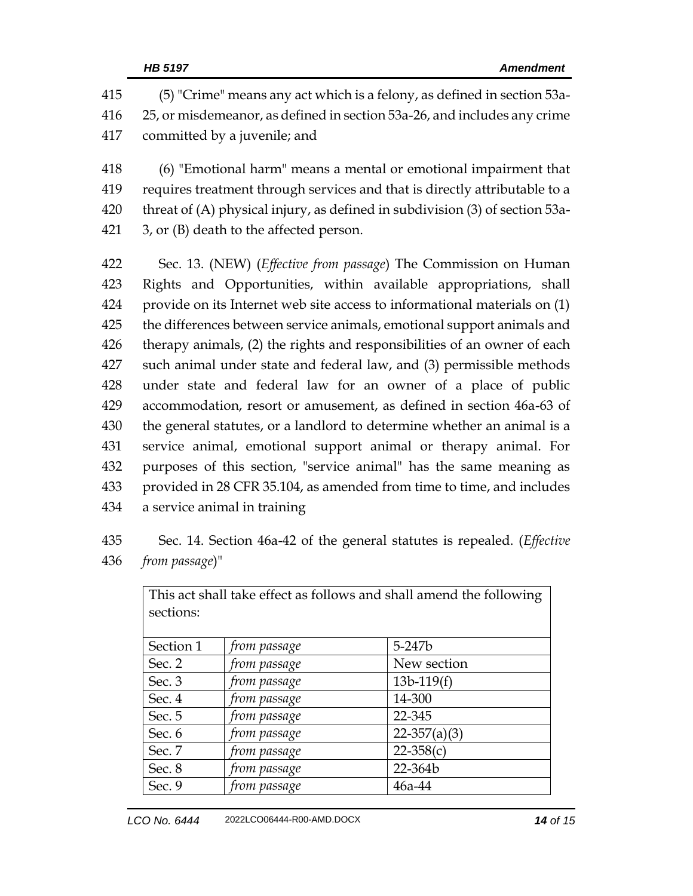| 415 | (5) "Crime" means any act which is a felony, as defined in section 53a-      |
|-----|------------------------------------------------------------------------------|
| 416 | 25, or misdemeanor, as defined in section 53a-26, and includes any crime     |
| 417 | committed by a juvenile; and                                                 |
| 418 | (6) "Emotional harm" means a mental or emotional impairment that             |
| 419 | requires treatment through services and that is directly attributable to a   |
| 420 | threat of (A) physical injury, as defined in subdivision (3) of section 53a- |
| 421 | 3, or (B) death to the affected person.                                      |
| 422 | Sec. 13. (NEW) (Effective from passage) The Commission on Human              |
| 423 | Rights and Opportunities, within available appropriations, shall             |
| 424 | provide on its Internet web site access to informational materials on (1)    |
| 425 | the differences between service animals, emotional support animals and       |
| 426 | therapy animals, (2) the rights and responsibilities of an owner of each     |
| 427 | such animal under state and federal law, and (3) permissible methods         |
| 428 | under state and federal law for an owner of a place of public                |
| 429 | accommodation, resort or amusement, as defined in section 46a-63 of          |
| 430 | the general statutes, or a landlord to determine whether an animal is a      |
| 431 | service animal, emotional support animal or therapy animal. For              |
| 432 | purposes of this section, "service animal" has the same meaning as           |
| 433 | provided in 28 CFR 35.104, as amended from time to time, and includes        |
| 434 | a service animal in training                                                 |
|     |                                                                              |

## Sec. 14. Section 46a-42 of the general statutes is repealed. (*Effective from passage*)"

| This act shall take effect as follows and shall amend the following<br>sections: |              |                  |  |  |  |
|----------------------------------------------------------------------------------|--------------|------------------|--|--|--|
| Section 1                                                                        | from passage | $5-247b$         |  |  |  |
| Sec. 2                                                                           | from passage | New section      |  |  |  |
| Sec. 3                                                                           | from passage | $13b-119(f)$     |  |  |  |
| Sec. 4                                                                           | from passage | 14-300           |  |  |  |
| Sec. 5                                                                           | from passage | 22-345           |  |  |  |
| Sec. 6                                                                           | from passage | $22 - 357(a)(3)$ |  |  |  |
| Sec. 7                                                                           | from passage | $22 - 358(c)$    |  |  |  |
| Sec. 8                                                                           | from passage | 22-364b          |  |  |  |
| Sec. 9                                                                           | from passage | $46a-44$         |  |  |  |